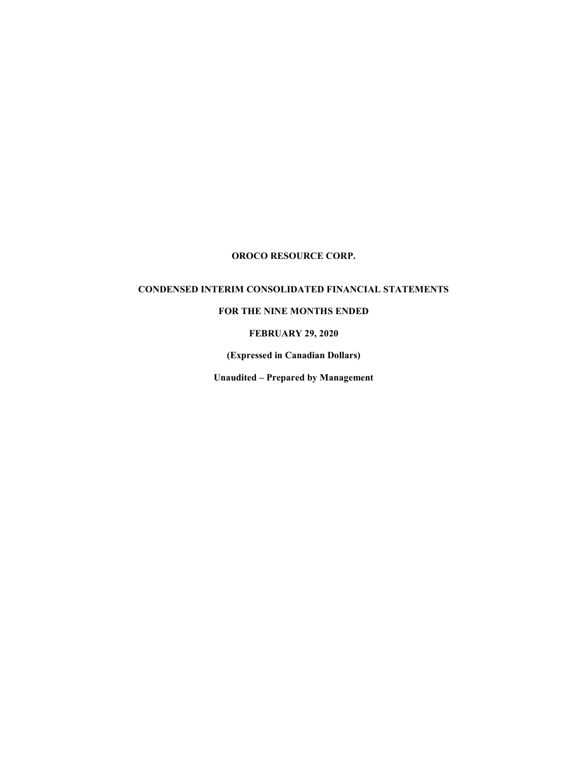# OROCO RESOURCE CORP.

# CONDENSED INTERIM CONSOLIDATED FINANCIAL STATEMENTS

# FOR THE NINE MONTHS ENDED

# FEBRUARY 29, 2020

(Expressed in Canadian Dollars)

Unaudited – Prepared by Management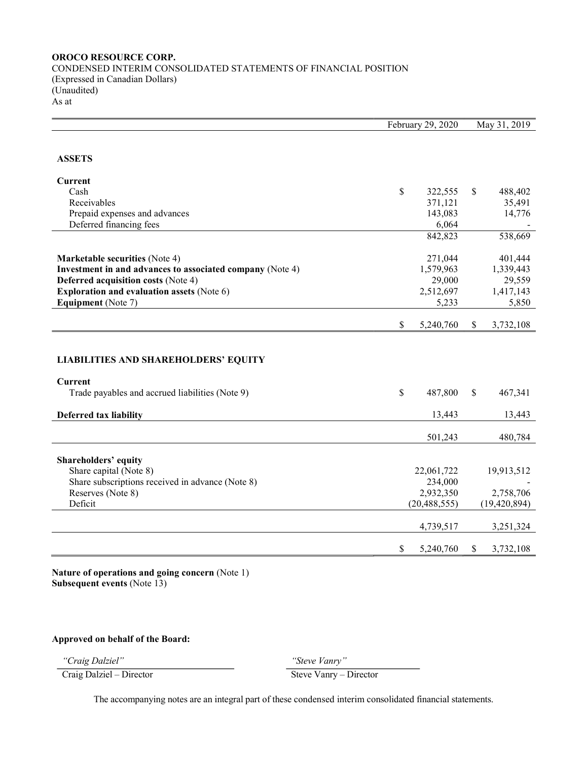# OROCO RESOURCE CORP. CONDENSED INTERIM CONSOLIDATED STATEMENTS OF FINANCIAL POSITION (Expressed in Canadian Dollars) (Unaudited) As at

|                                                           | February 29, 2020 |                |    | May 31, 2019   |
|-----------------------------------------------------------|-------------------|----------------|----|----------------|
|                                                           |                   |                |    |                |
| <b>ASSETS</b>                                             |                   |                |    |                |
| <b>Current</b>                                            |                   |                |    |                |
| Cash                                                      | \$                | 322,555        | \$ | 488,402        |
| Receivables                                               |                   | 371,121        |    | 35,491         |
| Prepaid expenses and advances                             |                   | 143,083        |    | 14,776         |
| Deferred financing fees                                   |                   | 6,064          |    |                |
|                                                           |                   | 842,823        |    | 538,669        |
| Marketable securities (Note 4)                            |                   | 271,044        |    | 401,444        |
| Investment in and advances to associated company (Note 4) |                   | 1,579,963      |    | 1,339,443      |
| <b>Deferred acquisition costs (Note 4)</b>                |                   | 29,000         |    | 29,559         |
| <b>Exploration and evaluation assets (Note 6)</b>         |                   | 2,512,697      |    | 1,417,143      |
| <b>Equipment</b> (Note 7)                                 |                   | 5,233          |    | 5,850          |
|                                                           | \$                | 5,240,760      | S  | 3,732,108      |
|                                                           |                   |                |    |                |
|                                                           |                   |                |    |                |
| <b>LIABILITIES AND SHAREHOLDERS' EQUITY</b>               |                   |                |    |                |
| <b>Current</b>                                            |                   |                |    |                |
| Trade payables and accrued liabilities (Note 9)           | \$                | 487,800        | \$ | 467,341        |
| Deferred tax liability                                    |                   | 13,443         |    | 13,443         |
|                                                           |                   | 501,243        |    | 480,784        |
|                                                           |                   |                |    |                |
| Shareholders' equity                                      |                   |                |    |                |
| Share capital (Note 8)                                    |                   | 22,061,722     |    | 19,913,512     |
| Share subscriptions received in advance (Note 8)          |                   | 234,000        |    |                |
| Reserves (Note 8)                                         |                   | 2,932,350      |    | 2,758,706      |
| Deficit                                                   |                   | (20, 488, 555) |    | (19, 420, 894) |
|                                                           |                   |                |    |                |
|                                                           |                   | 4,739,517      |    | 3,251,324      |
|                                                           | \$                | 5,240,760      | S  | 3,732,108      |
|                                                           |                   |                |    |                |

Nature of operations and going concern (Note 1) Subsequent events (Note 13)

Approved on behalf of the Board:

"Craig Dalziel" "Steve Vanry"

Craig Dalziel – Director Steve Vanry – Director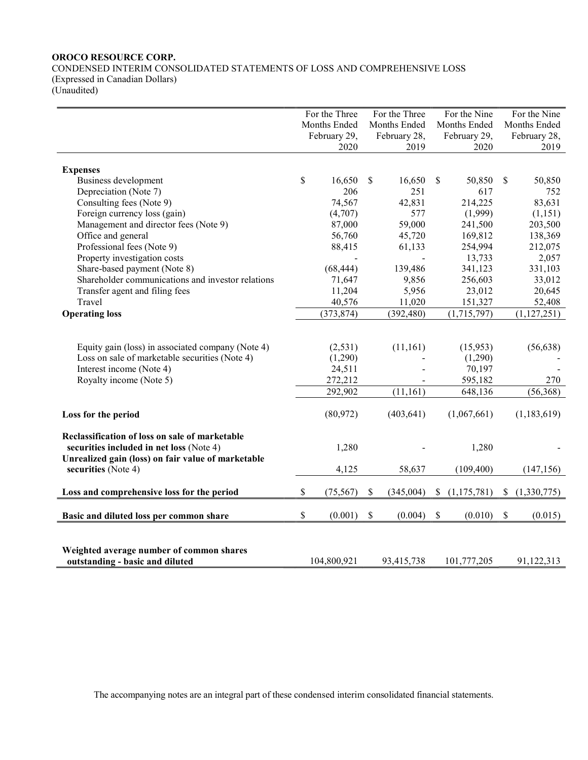# OROCO RESOURCE CORP.

CONDENSED INTERIM CONSOLIDATED STATEMENTS OF LOSS AND COMPREHENSIVE LOSS (Expressed in Canadian Dollars)

(Unaudited)

|                                                    | For the Three   |      | For the Three | For the Nine  |              | For the Nine |               |
|----------------------------------------------------|-----------------|------|---------------|---------------|--------------|--------------|---------------|
|                                                    | Months Ended    |      | Months Ended  |               | Months Ended |              | Months Ended  |
|                                                    | February 29,    |      | February 28,  |               | February 29, |              | February 28,  |
|                                                    | 2020            |      | 2019          |               | 2020         |              | 2019          |
|                                                    |                 |      |               |               |              |              |               |
| <b>Expenses</b>                                    |                 |      |               |               |              |              |               |
| Business development                               | \$<br>16,650    | \$   | 16,650        | $\mathcal{S}$ | 50,850       | $\mathbb{S}$ | 50,850        |
| Depreciation (Note 7)                              | 206             |      | 251           |               | 617          |              | 752           |
| Consulting fees (Note 9)                           | 74,567          |      | 42,831        |               | 214,225      |              | 83,631        |
| Foreign currency loss (gain)                       | (4,707)         |      | 577           |               | (1,999)      |              | (1,151)       |
| Management and director fees (Note 9)              | 87,000          |      | 59,000        |               | 241,500      |              | 203,500       |
| Office and general                                 | 56,760          |      | 45,720        |               | 169,812      |              | 138,369       |
| Professional fees (Note 9)                         | 88,415          |      | 61,133        |               | 254,994      |              | 212,075       |
| Property investigation costs                       |                 |      |               |               | 13,733       |              | 2,057         |
| Share-based payment (Note 8)                       | (68, 444)       |      | 139,486       |               | 341,123      |              | 331,103       |
| Shareholder communications and investor relations  | 71,647          |      | 9,856         |               | 256,603      |              | 33,012        |
| Transfer agent and filing fees                     | 11,204          |      | 5,956         |               | 23,012       |              | 20,645        |
| Travel                                             | 40,576          |      | 11,020        |               | 151,327      |              | 52,408        |
| <b>Operating loss</b>                              | (373, 874)      |      | (392, 480)    |               | (1,715,797)  |              | (1, 127, 251) |
|                                                    |                 |      |               |               |              |              |               |
|                                                    |                 |      |               |               |              |              |               |
| Equity gain (loss) in associated company (Note 4)  | (2, 531)        |      | (11,161)      |               | (15,953)     |              | (56, 638)     |
| Loss on sale of marketable securities (Note 4)     | (1,290)         |      |               |               | (1,290)      |              |               |
| Interest income (Note 4)                           | 24,511          |      |               |               | 70,197       |              |               |
| Royalty income (Note 5)                            | 272,212         |      |               |               | 595,182      |              | 270           |
|                                                    | 292,902         |      | (11, 161)     |               | 648,136      |              | (56, 368)     |
|                                                    |                 |      |               |               |              |              |               |
| Loss for the period                                | (80, 972)       |      | (403, 641)    |               | (1,067,661)  |              | (1, 183, 619) |
|                                                    |                 |      |               |               |              |              |               |
| Reclassification of loss on sale of marketable     |                 |      |               |               |              |              |               |
| securities included in net loss (Note 4)           | 1,280           |      |               |               | 1,280        |              |               |
| Unrealized gain (loss) on fair value of marketable |                 |      |               |               |              |              |               |
| securities (Note 4)                                | 4,125           |      | 58,637        |               | (109, 400)   |              | (147, 156)    |
|                                                    |                 |      |               |               |              |              |               |
| Loss and comprehensive loss for the period         | \$<br>(75, 567) | $\$$ | (345,004)     | \$            | (1,175,781)  | $\mathbb{S}$ | (1,330,775)   |
|                                                    |                 |      |               |               |              |              |               |
| Basic and diluted loss per common share            | \$<br>(0.001)   | \$   | (0.004)       | \$            | (0.010)      | \$           | (0.015)       |
|                                                    |                 |      |               |               |              |              |               |
|                                                    |                 |      |               |               |              |              |               |
| Weighted average number of common shares           |                 |      |               |               |              |              |               |
| outstanding - basic and diluted                    | 104,800,921     |      | 93,415,738    |               | 101,777,205  |              | 91,122,313    |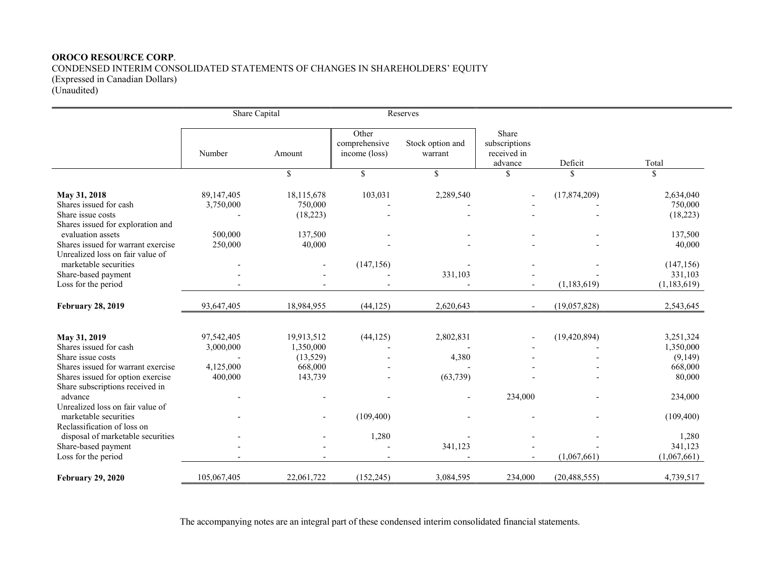# OROCO RESOURCE CORP. CONDENSED INTERIM CONSOLIDATED STATEMENTS OF CHANGES IN SHAREHOLDERS' EQUITY (Expressed in Canadian Dollars)

(Unaudited)

|                                                                                                            | Share Capital           |                                     |                                         | Reserves                    |                                                  |                |                                   |
|------------------------------------------------------------------------------------------------------------|-------------------------|-------------------------------------|-----------------------------------------|-----------------------------|--------------------------------------------------|----------------|-----------------------------------|
|                                                                                                            | Number                  | Amount                              | Other<br>comprehensive<br>income (loss) | Stock option and<br>warrant | Share<br>subscriptions<br>received in<br>advance | Deficit        | Total                             |
|                                                                                                            |                         | \$                                  | $\mathbf S$                             | $\mathcal{S}$               | \$                                               | \$             | \$                                |
| May 31, 2018<br>Shares issued for cash<br>Share issue costs<br>Shares issued for exploration and           | 89,147,405<br>3,750,000 | 18,115,678<br>750,000<br>(18,223)   | 103,031                                 | 2,289,540                   |                                                  | (17,874,209)   | 2,634,040<br>750,000<br>(18,223)  |
| evaluation assets<br>Shares issued for warrant exercise<br>Unrealized loss on fair value of                | 500,000<br>250,000      | 137,500<br>40,000                   |                                         |                             |                                                  |                | 137,500<br>40,000                 |
| marketable securities<br>Share-based payment                                                               |                         |                                     | (147, 156)                              | 331,103                     |                                                  |                | (147, 156)<br>331,103             |
| Loss for the period                                                                                        |                         |                                     |                                         |                             |                                                  | (1,183,619)    | (1,183,619)                       |
| <b>February 28, 2019</b>                                                                                   | 93,647,405              | 18,984,955                          | (44, 125)                               | 2,620,643                   |                                                  | (19,057,828)   | 2,543,645                         |
| May 31, 2019<br>Shares issued for cash<br>Share issue costs                                                | 97,542,405<br>3,000,000 | 19,913,512<br>1,350,000<br>(13,529) | (44, 125)                               | 2,802,831<br>4,380          |                                                  | (19, 420, 894) | 3,251,324<br>1,350,000<br>(9,149) |
| Shares issued for warrant exercise<br>Shares issued for option exercise<br>Share subscriptions received in | 4,125,000<br>400,000    | 668,000<br>143,739                  |                                         | (63, 739)                   |                                                  |                | 668,000<br>80,000                 |
| advance<br>Unrealized loss on fair value of<br>marketable securities                                       |                         |                                     | $\overline{a}$<br>(109, 400)            | $\overline{\phantom{a}}$    | 234,000                                          |                | 234,000<br>(109, 400)             |
| Reclassification of loss on<br>disposal of marketable securities                                           |                         |                                     | 1,280                                   |                             |                                                  |                | 1,280                             |
| Share-based payment<br>Loss for the period                                                                 |                         |                                     |                                         | 341,123                     |                                                  | (1,067,661)    | 341,123<br>(1,067,661)            |
| <b>February 29, 2020</b>                                                                                   | 105,067,405             | 22,061,722                          | (152, 245)                              | 3,084,595                   | 234,000                                          | (20, 488, 555) | 4,739,517                         |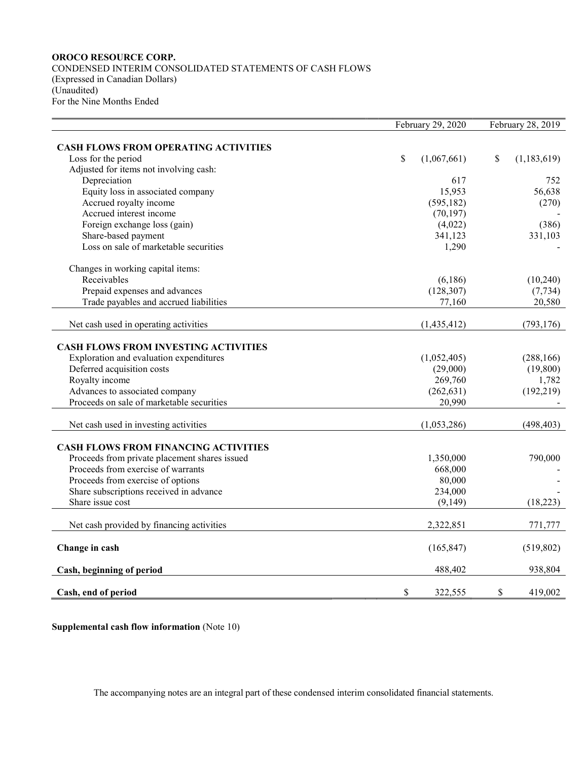# OROCO RESOURCE CORP. CONDENSED INTERIM CONSOLIDATED STATEMENTS OF CASH FLOWS (Expressed in Canadian Dollars) (Unaudited) For the Nine Months Ended

|                                               | February 29, 2020 | February 28, 2019 |                   |
|-----------------------------------------------|-------------------|-------------------|-------------------|
|                                               |                   |                   |                   |
| <b>CASH FLOWS FROM OPERATING ACTIVITIES</b>   |                   |                   |                   |
| Loss for the period                           | \$                | (1,067,661)       | \$<br>(1,183,619) |
| Adjusted for items not involving cash:        |                   |                   |                   |
| Depreciation                                  |                   | 617               | 752               |
| Equity loss in associated company             |                   | 15,953            | 56,638            |
| Accrued royalty income                        |                   | (595, 182)        | (270)             |
| Accrued interest income                       |                   | (70, 197)         |                   |
| Foreign exchange loss (gain)                  |                   | (4,022)           | (386)             |
| Share-based payment                           |                   | 341,123           | 331,103           |
| Loss on sale of marketable securities         |                   | 1,290             |                   |
| Changes in working capital items:             |                   |                   |                   |
| Receivables                                   |                   | (6,186)           | (10,240)          |
| Prepaid expenses and advances                 |                   | (128, 307)        | (7, 734)          |
| Trade payables and accrued liabilities        |                   | 77,160            | 20,580            |
|                                               |                   |                   |                   |
| Net cash used in operating activities         |                   | (1,435,412)       | (793, 176)        |
| <b>CASH FLOWS FROM INVESTING ACTIVITIES</b>   |                   |                   |                   |
| Exploration and evaluation expenditures       |                   | (1,052,405)       | (288, 166)        |
| Deferred acquisition costs                    |                   | (29,000)          | (19, 800)         |
| Royalty income                                |                   | 269,760           | 1,782             |
| Advances to associated company                |                   | (262, 631)        | (192, 219)        |
| Proceeds on sale of marketable securities     |                   | 20,990            |                   |
|                                               |                   |                   |                   |
| Net cash used in investing activities         |                   | (1,053,286)       | (498, 403)        |
| <b>CASH FLOWS FROM FINANCING ACTIVITIES</b>   |                   |                   |                   |
| Proceeds from private placement shares issued |                   | 1,350,000         | 790,000           |
| Proceeds from exercise of warrants            |                   | 668,000           |                   |
| Proceeds from exercise of options             |                   | 80,000            |                   |
| Share subscriptions received in advance       |                   | 234,000           |                   |
| Share issue cost                              |                   | (9,149)           | (18, 223)         |
|                                               |                   |                   |                   |
| Net cash provided by financing activities     |                   | 2,322,851         | 771,777           |
| Change in cash                                |                   | (165, 847)        | (519, 802)        |
| Cash, beginning of period                     |                   | 488,402           | 938,804           |
| Cash, end of period                           | \$                | 322,555           | \$<br>419,002     |

Supplemental cash flow information (Note 10)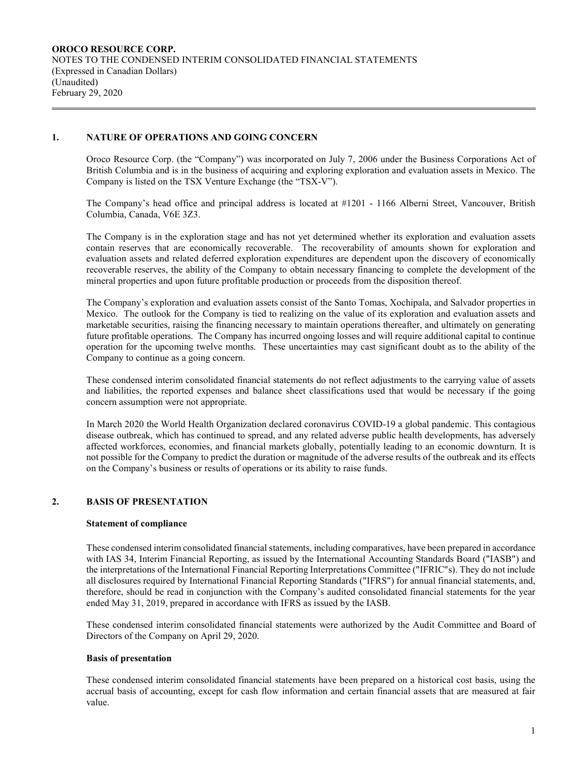### 1. NATURE OF OPERATIONS AND GOING CONCERN

 $\overline{a}$ 

Oroco Resource Corp. (the "Company") was incorporated on July 7, 2006 under the Business Corporations Act of British Columbia and is in the business of acquiring and exploring exploration and evaluation assets in Mexico. The Company is listed on the TSX Venture Exchange (the "TSX-V").

The Company's head office and principal address is located at #1201 - 1166 Alberni Street, Vancouver, British Columbia, Canada, V6E 3Z3.

The Company is in the exploration stage and has not yet determined whether its exploration and evaluation assets contain reserves that are economically recoverable. The recoverability of amounts shown for exploration and evaluation assets and related deferred exploration expenditures are dependent upon the discovery of economically recoverable reserves, the ability of the Company to obtain necessary financing to complete the development of the mineral properties and upon future profitable production or proceeds from the disposition thereof.

The Company's exploration and evaluation assets consist of the Santo Tomas, Xochipala, and Salvador properties in Mexico. The outlook for the Company is tied to realizing on the value of its exploration and evaluation assets and marketable securities, raising the financing necessary to maintain operations thereafter, and ultimately on generating future profitable operations. The Company has incurred ongoing losses and will require additional capital to continue operation for the upcoming twelve months. These uncertainties may cast significant doubt as to the ability of the Company to continue as a going concern.

These condensed interim consolidated financial statements do not reflect adjustments to the carrying value of assets and liabilities, the reported expenses and balance sheet classifications used that would be necessary if the going concern assumption were not appropriate.

In March 2020 the World Health Organization declared coronavirus COVID-19 a global pandemic. This contagious disease outbreak, which has continued to spread, and any related adverse public health developments, has adversely affected workforces, economies, and financial markets globally, potentially leading to an economic downturn. It is not possible for the Company to predict the duration or magnitude of the adverse results of the outbreak and its effects on the Company's business or results of operations or its ability to raise funds.

# 2. BASIS OF PRESENTATION

### Statement of compliance

These condensed interim consolidated financial statements, including comparatives, have been prepared in accordance with IAS 34, Interim Financial Reporting, as issued by the International Accounting Standards Board ("IASB") and the interpretations of the International Financial Reporting Interpretations Committee ("IFRIC"s). They do not include all disclosures required by International Financial Reporting Standards ("IFRS") for annual financial statements, and, therefore, should be read in conjunction with the Company's audited consolidated financial statements for the year ended May 31, 2019, prepared in accordance with IFRS as issued by the IASB.

These condensed interim consolidated financial statements were authorized by the Audit Committee and Board of Directors of the Company on April 29, 2020.

### Basis of presentation

These condensed interim consolidated financial statements have been prepared on a historical cost basis, using the accrual basis of accounting, except for cash flow information and certain financial assets that are measured at fair value.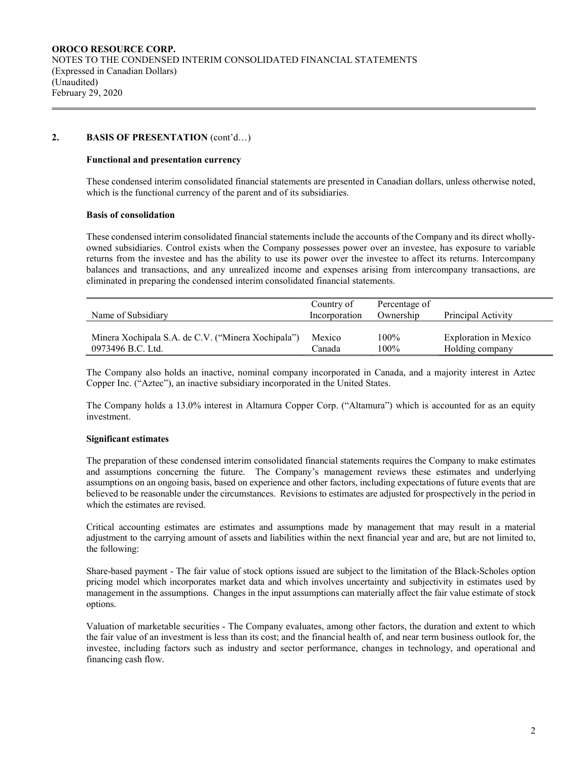## 2. BASIS OF PRESENTATION (cont'd...)

#### Functional and presentation currency

These condensed interim consolidated financial statements are presented in Canadian dollars, unless otherwise noted, which is the functional currency of the parent and of its subsidiaries.

#### Basis of consolidation

 $\overline{a}$ 

These condensed interim consolidated financial statements include the accounts of the Company and its direct whollyowned subsidiaries. Control exists when the Company possesses power over an investee, has exposure to variable returns from the investee and has the ability to use its power over the investee to affect its returns. Intercompany balances and transactions, and any unrealized income and expenses arising from intercompany transactions, are eliminated in preparing the condensed interim consolidated financial statements.

|                                                    | Country of    | Percentage of |                       |
|----------------------------------------------------|---------------|---------------|-----------------------|
| Name of Subsidiary                                 | Incorporation | Ownership     | Principal Activity    |
|                                                    |               |               |                       |
| Minera Xochipala S.A. de C.V. ("Minera Xochipala") | Mexico        | 100%          | Exploration in Mexico |
| 0973496 B.C. Ltd.                                  | Canada        | 100%          | Holding company       |

The Company also holds an inactive, nominal company incorporated in Canada, and a majority interest in Aztec Copper Inc. ("Aztec"), an inactive subsidiary incorporated in the United States.

The Company holds a 13.0% interest in Altamura Copper Corp. ("Altamura") which is accounted for as an equity investment.

### Significant estimates

The preparation of these condensed interim consolidated financial statements requires the Company to make estimates and assumptions concerning the future. The Company's management reviews these estimates and underlying assumptions on an ongoing basis, based on experience and other factors, including expectations of future events that are believed to be reasonable under the circumstances. Revisions to estimates are adjusted for prospectively in the period in which the estimates are revised.

Critical accounting estimates are estimates and assumptions made by management that may result in a material adjustment to the carrying amount of assets and liabilities within the next financial year and are, but are not limited to, the following:

Share-based payment - The fair value of stock options issued are subject to the limitation of the Black-Scholes option pricing model which incorporates market data and which involves uncertainty and subjectivity in estimates used by management in the assumptions. Changes in the input assumptions can materially affect the fair value estimate of stock options.

Valuation of marketable securities - The Company evaluates, among other factors, the duration and extent to which the fair value of an investment is less than its cost; and the financial health of, and near term business outlook for, the investee, including factors such as industry and sector performance, changes in technology, and operational and financing cash flow.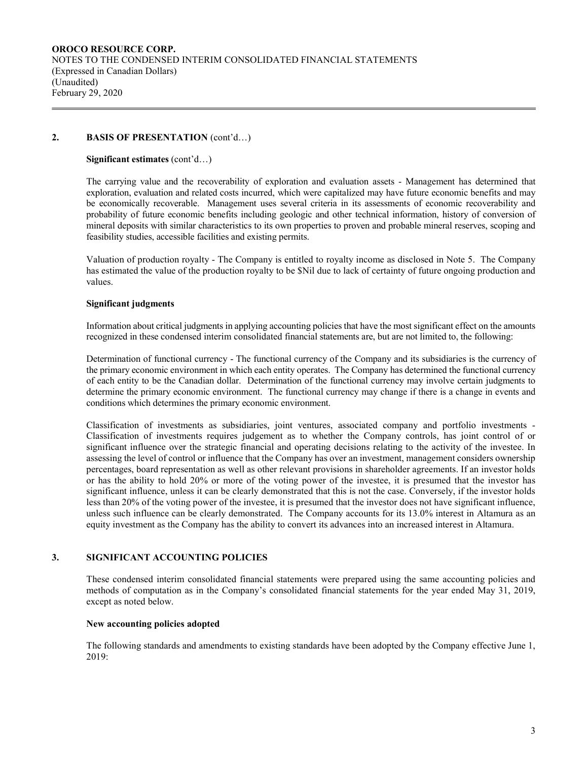### 2. BASIS OF PRESENTATION (cont'd...)

 $\overline{a}$ 

#### Significant estimates (cont'd…)

The carrying value and the recoverability of exploration and evaluation assets - Management has determined that exploration, evaluation and related costs incurred, which were capitalized may have future economic benefits and may be economically recoverable. Management uses several criteria in its assessments of economic recoverability and probability of future economic benefits including geologic and other technical information, history of conversion of mineral deposits with similar characteristics to its own properties to proven and probable mineral reserves, scoping and feasibility studies, accessible facilities and existing permits.

Valuation of production royalty - The Company is entitled to royalty income as disclosed in Note 5. The Company has estimated the value of the production royalty to be \$Nil due to lack of certainty of future ongoing production and values.

### Significant judgments

Information about critical judgments in applying accounting policies that have the most significant effect on the amounts recognized in these condensed interim consolidated financial statements are, but are not limited to, the following:

Determination of functional currency - The functional currency of the Company and its subsidiaries is the currency of the primary economic environment in which each entity operates. The Company has determined the functional currency of each entity to be the Canadian dollar. Determination of the functional currency may involve certain judgments to determine the primary economic environment. The functional currency may change if there is a change in events and conditions which determines the primary economic environment.

Classification of investments as subsidiaries, joint ventures, associated company and portfolio investments - Classification of investments requires judgement as to whether the Company controls, has joint control of or significant influence over the strategic financial and operating decisions relating to the activity of the investee. In assessing the level of control or influence that the Company has over an investment, management considers ownership percentages, board representation as well as other relevant provisions in shareholder agreements. If an investor holds or has the ability to hold 20% or more of the voting power of the investee, it is presumed that the investor has significant influence, unless it can be clearly demonstrated that this is not the case. Conversely, if the investor holds less than 20% of the voting power of the investee, it is presumed that the investor does not have significant influence, unless such influence can be clearly demonstrated. The Company accounts for its 13.0% interest in Altamura as an equity investment as the Company has the ability to convert its advances into an increased interest in Altamura.

# 3. SIGNIFICANT ACCOUNTING POLICIES

These condensed interim consolidated financial statements were prepared using the same accounting policies and methods of computation as in the Company's consolidated financial statements for the year ended May 31, 2019, except as noted below.

### New accounting policies adopted

The following standards and amendments to existing standards have been adopted by the Company effective June 1, 2019: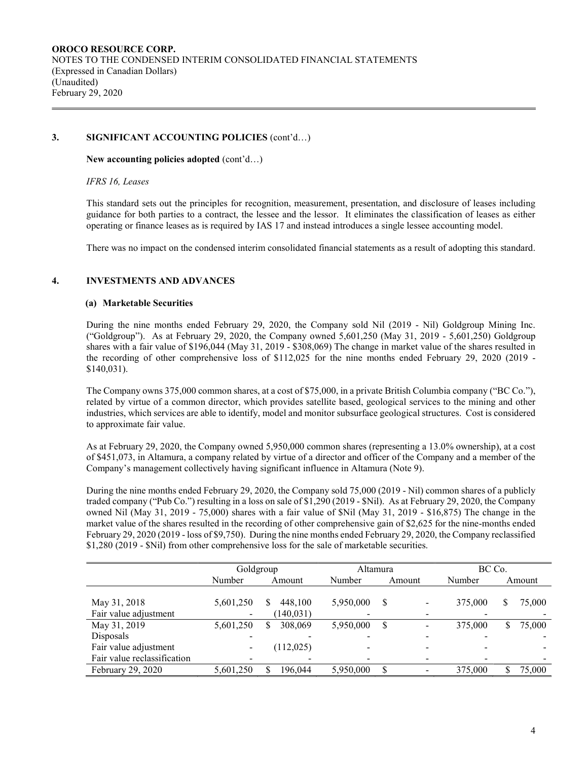# 3. SIGNIFICANT ACCOUNTING POLICIES (cont'd…)

New accounting policies adopted (cont'd…)

IFRS 16, Leases

 $\overline{a}$ 

This standard sets out the principles for recognition, measurement, presentation, and disclosure of leases including guidance for both parties to a contract, the lessee and the lessor. It eliminates the classification of leases as either operating or finance leases as is required by IAS 17 and instead introduces a single lessee accounting model.

There was no impact on the condensed interim consolidated financial statements as a result of adopting this standard.

# 4. INVESTMENTS AND ADVANCES

### (a) Marketable Securities

During the nine months ended February 29, 2020, the Company sold Nil (2019 - Nil) Goldgroup Mining Inc. ("Goldgroup"). As at February 29, 2020, the Company owned 5,601,250 (May 31, 2019 - 5,601,250) Goldgroup shares with a fair value of \$196,044 (May 31, 2019 - \$308,069) The change in market value of the shares resulted in the recording of other comprehensive loss of \$112,025 for the nine months ended February 29, 2020 (2019 - \$140,031).

The Company owns 375,000 common shares, at a cost of \$75,000, in a private British Columbia company ("BC Co."), related by virtue of a common director, which provides satellite based, geological services to the mining and other industries, which services are able to identify, model and monitor subsurface geological structures. Cost is considered to approximate fair value.

As at February 29, 2020, the Company owned 5,950,000 common shares (representing a 13.0% ownership), at a cost of \$451,073, in Altamura, a company related by virtue of a director and officer of the Company and a member of the Company's management collectively having significant influence in Altamura (Note 9).

During the nine months ended February 29, 2020, the Company sold 75,000 (2019 - Nil) common shares of a publicly traded company ("Pub Co.") resulting in a loss on sale of \$1,290 (2019 - \$Nil). As at February 29, 2020, the Company owned Nil (May 31, 2019 - 75,000) shares with a fair value of \$Nil (May 31, 2019 - \$16,875) The change in the market value of the shares resulted in the recording of other comprehensive gain of \$2,625 for the nine-months ended February 29, 2020 (2019 - loss of \$9,750). During the nine months ended February 29, 2020, the Company reclassified \$1,280 (2019 - \$Nil) from other comprehensive loss for the sale of marketable securities.

|                             | Goldgroup                |                | Altamura                 |        | BC Co.  |        |  |
|-----------------------------|--------------------------|----------------|--------------------------|--------|---------|--------|--|
|                             | Number                   | Amount         | Number                   | Amount | Number  | Amount |  |
|                             |                          |                |                          |        |         |        |  |
| May 31, 2018                | 5,601,250                | 448.100<br>S   | 5,950,000                | S      | 375,000 | 75,000 |  |
| Fair value adjustment       | $\overline{\phantom{a}}$ | (140, 031)     | $\overline{\phantom{a}}$ |        |         |        |  |
| May 31, 2019                | 5,601,250                | 308,069<br>\$. | 5,950,000                | \$     | 375,000 | 75,000 |  |
| Disposals                   |                          |                |                          |        |         |        |  |
| Fair value adjustment       | $\overline{\phantom{a}}$ | (112, 025)     |                          |        |         |        |  |
| Fair value reclassification | $\overline{\phantom{a}}$ |                |                          |        |         |        |  |
| February 29, 2020           | 5,601,250                | 196.044        | 5,950,000                | S      | 375,000 | 75,000 |  |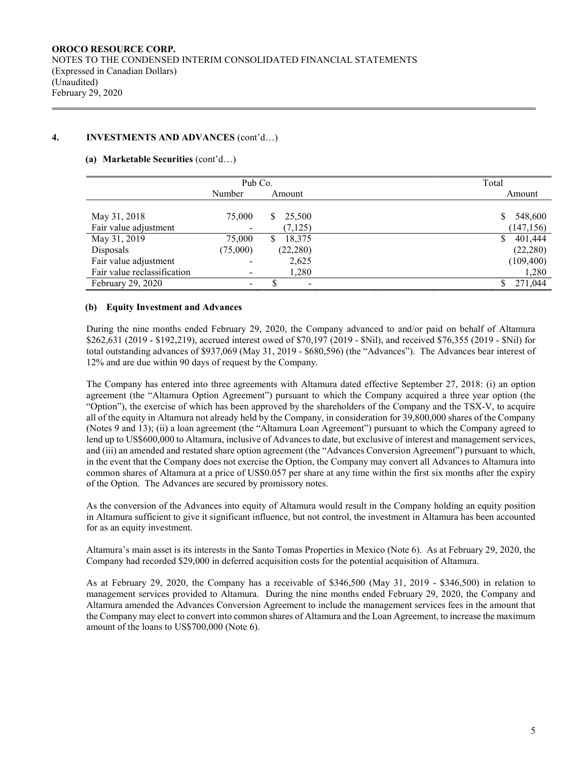# 4. INVESTMENTS AND ADVANCES (cont'd…)

 $\overline{a}$ 

### (a) Marketable Securities (cont'd…)

|                             | Pub Co.                  |              | Total      |
|-----------------------------|--------------------------|--------------|------------|
|                             | Number                   | Amount       | Amount     |
|                             |                          |              |            |
| May 31, 2018                | 75,000                   | 25,500       | 548,600    |
| Fair value adjustment       | $\overline{\phantom{a}}$ | (7, 125)     | (147, 156) |
| May 31, 2019                | 75,000                   | 18,375<br>\$ | 401,444    |
| Disposals                   | (75,000)                 | (22, 280)    | (22, 280)  |
| Fair value adjustment       | -                        | 2,625        | (109, 400) |
| Fair value reclassification | $\overline{\phantom{a}}$ | 1,280        | 1,280      |
| February 29, 2020           | -                        | S            | 271,044    |

### (b) Equity Investment and Advances

During the nine months ended February 29, 2020, the Company advanced to and/or paid on behalf of Altamura \$262,631 (2019 - \$192,219), accrued interest owed of \$70,197 (2019 - \$Nil), and received \$76,355 (2019 - \$Nil) for total outstanding advances of \$937,069 (May 31, 2019 - \$680,596) (the "Advances"). The Advances bear interest of 12% and are due within 90 days of request by the Company.

The Company has entered into three agreements with Altamura dated effective September 27, 2018: (i) an option agreement (the "Altamura Option Agreement") pursuant to which the Company acquired a three year option (the "Option"), the exercise of which has been approved by the shareholders of the Company and the TSX-V, to acquire all of the equity in Altamura not already held by the Company, in consideration for 39,800,000 shares of the Company (Notes 9 and 13); (ii) a loan agreement (the "Altamura Loan Agreement") pursuant to which the Company agreed to lend up to US\$600,000 to Altamura, inclusive of Advances to date, but exclusive of interest and management services, and (iii) an amended and restated share option agreement (the "Advances Conversion Agreement") pursuant to which, in the event that the Company does not exercise the Option, the Company may convert all Advances to Altamura into common shares of Altamura at a price of US\$0.057 per share at any time within the first six months after the expiry of the Option. The Advances are secured by promissory notes.

As the conversion of the Advances into equity of Altamura would result in the Company holding an equity position in Altamura sufficient to give it significant influence, but not control, the investment in Altamura has been accounted for as an equity investment.

Altamura's main asset is its interests in the Santo Tomas Properties in Mexico (Note 6). As at February 29, 2020, the Company had recorded \$29,000 in deferred acquisition costs for the potential acquisition of Altamura.

As at February 29, 2020, the Company has a receivable of \$346,500 (May 31, 2019 - \$346,500) in relation to management services provided to Altamura. During the nine months ended February 29, 2020, the Company and Altamura amended the Advances Conversion Agreement to include the management services fees in the amount that the Company may elect to convert into common shares of Altamura and the Loan Agreement, to increase the maximum amount of the loans to US\$700,000 (Note 6).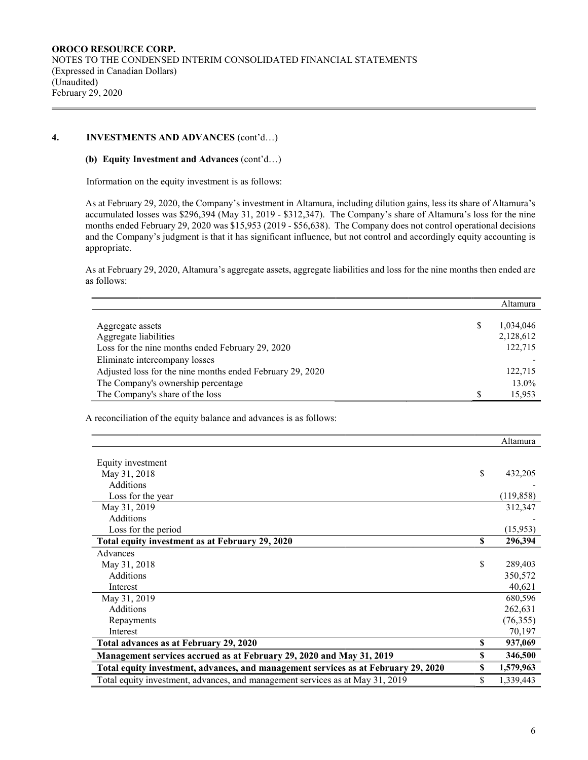## 4. INVESTMENTS AND ADVANCES (cont'd…)

 $\overline{a}$ 

#### (b) Equity Investment and Advances (cont'd…)

Information on the equity investment is as follows:

As at February 29, 2020, the Company's investment in Altamura, including dilution gains, less its share of Altamura's accumulated losses was \$296,394 (May 31, 2019 - \$312,347). The Company's share of Altamura's loss for the nine months ended February 29, 2020 was \$15,953 (2019 - \$56,638). The Company does not control operational decisions and the Company's judgment is that it has significant influence, but not control and accordingly equity accounting is appropriate.

As at February 29, 2020, Altamura's aggregate assets, aggregate liabilities and loss for the nine months then ended are as follows:

|                                                           |     | Altamura  |
|-----------------------------------------------------------|-----|-----------|
|                                                           |     |           |
| Aggregate assets                                          | S   | 1,034,046 |
| Aggregate liabilities                                     |     | 2,128,612 |
| Loss for the nine months ended February 29, 2020          |     | 122,715   |
| Eliminate intercompany losses                             |     |           |
| Adjusted loss for the nine months ended February 29, 2020 |     | 122,715   |
| The Company's ownership percentage                        |     | 13.0%     |
| The Company's share of the loss                           | \$. | 15,953    |

A reconciliation of the equity balance and advances is as follows:

|                                                                                    |    | Altamura   |
|------------------------------------------------------------------------------------|----|------------|
|                                                                                    |    |            |
| Equity investment                                                                  |    |            |
| May 31, 2018                                                                       | \$ | 432,205    |
| <b>Additions</b>                                                                   |    |            |
| Loss for the year                                                                  |    | (119, 858) |
| May 31, 2019                                                                       |    | 312,347    |
| <b>Additions</b>                                                                   |    |            |
| Loss for the period                                                                |    | (15,953)   |
| Total equity investment as at February 29, 2020                                    | \$ | 296,394    |
| Advances                                                                           |    |            |
| May 31, 2018                                                                       | \$ | 289,403    |
| <b>Additions</b>                                                                   |    | 350,572    |
| Interest                                                                           |    | 40,621     |
| May 31, 2019                                                                       |    | 680,596    |
| <b>Additions</b>                                                                   |    | 262,631    |
| Repayments                                                                         |    | (76, 355)  |
| Interest                                                                           |    | 70,197     |
| Total advances as at February 29, 2020                                             | \$ | 937,069    |
| Management services accrued as at February 29, 2020 and May 31, 2019               | S  | 346,500    |
| Total equity investment, advances, and management services as at February 29, 2020 | \$ | 1,579,963  |
| Total equity investment, advances, and management services as at May 31, 2019      | \$ | 1,339,443  |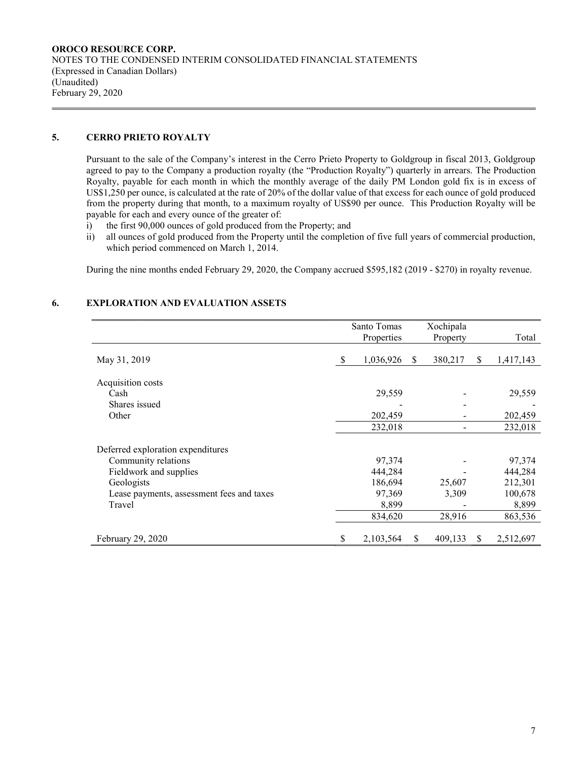# 5. CERRO PRIETO ROYALTY

 $\overline{a}$ 

Pursuant to the sale of the Company's interest in the Cerro Prieto Property to Goldgroup in fiscal 2013, Goldgroup agreed to pay to the Company a production royalty (the "Production Royalty") quarterly in arrears. The Production Royalty, payable for each month in which the monthly average of the daily PM London gold fix is in excess of US\$1,250 per ounce, is calculated at the rate of 20% of the dollar value of that excess for each ounce of gold produced from the property during that month, to a maximum royalty of US\$90 per ounce. This Production Royalty will be payable for each and every ounce of the greater of:

- i) the first 90,000 ounces of gold produced from the Property; and
- ii) all ounces of gold produced from the Property until the completion of five full years of commercial production, which period commenced on March 1, 2014.

During the nine months ended February 29, 2020, the Company accrued \$595,182 (2019 - \$270) in royalty revenue.

# 6. EXPLORATION AND EVALUATION ASSETS

|                                                                                                                                                         |    | Santo Tomas<br>Properties                       |               | Xochipala<br>Property |    | Total                                            |
|---------------------------------------------------------------------------------------------------------------------------------------------------------|----|-------------------------------------------------|---------------|-----------------------|----|--------------------------------------------------|
| May 31, 2019                                                                                                                                            | S  | 1,036,926                                       | <sup>\$</sup> | 380,217               | \$ | 1,417,143                                        |
| Acquisition costs                                                                                                                                       |    |                                                 |               |                       |    |                                                  |
| Cash                                                                                                                                                    |    | 29,559                                          |               |                       |    | 29,559                                           |
| Shares issued                                                                                                                                           |    |                                                 |               |                       |    |                                                  |
| Other                                                                                                                                                   |    | 202,459                                         |               |                       |    | 202,459                                          |
|                                                                                                                                                         |    | 232,018                                         |               |                       |    | 232,018                                          |
| Deferred exploration expenditures<br>Community relations<br>Fieldwork and supplies<br>Geologists<br>Lease payments, assessment fees and taxes<br>Travel |    | 97,374<br>444,284<br>186,694<br>97,369<br>8,899 |               | 25,607<br>3,309       |    | 97,374<br>444,284<br>212,301<br>100,678<br>8,899 |
|                                                                                                                                                         |    | 834,620                                         |               | 28,916                |    | 863,536                                          |
| February 29, 2020                                                                                                                                       | \$ | 2,103,564                                       | \$            | 409,133               | S. | 2,512,697                                        |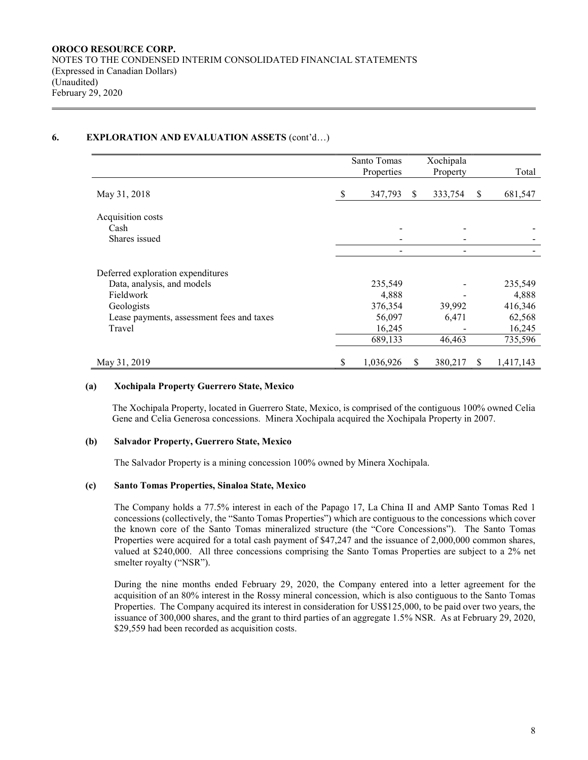# 6. EXPLORATION AND EVALUATION ASSETS (cont'd…)

 $\overline{a}$ 

|                                           |               | Santo Tomas<br>Properties |              | Xochipala<br>Property |               | Total     |
|-------------------------------------------|---------------|---------------------------|--------------|-----------------------|---------------|-----------|
| May 31, 2018                              | <sup>\$</sup> | 347,793                   | <sup>S</sup> | 333,754               | \$            | 681,547   |
| Acquisition costs                         |               |                           |              |                       |               |           |
| Cash                                      |               | $\overline{\phantom{0}}$  |              |                       |               |           |
| Shares issued                             |               |                           |              |                       |               |           |
|                                           |               |                           |              |                       |               |           |
| Deferred exploration expenditures         |               |                           |              |                       |               |           |
| Data, analysis, and models                |               | 235,549                   |              |                       |               | 235,549   |
| Fieldwork                                 |               | 4,888                     |              |                       |               | 4,888     |
| Geologists                                |               | 376,354                   |              | 39,992                |               | 416,346   |
| Lease payments, assessment fees and taxes |               | 56,097                    |              | 6,471                 |               | 62,568    |
| Travel                                    |               | 16,245                    |              |                       |               | 16,245    |
|                                           |               | 689,133                   |              | 46,463                |               | 735,596   |
| May 31, 2019                              | \$            | 1,036,926                 | \$           | 380,217               | <sup>\$</sup> | 1,417,143 |

### (a) Xochipala Property Guerrero State, Mexico

The Xochipala Property, located in Guerrero State, Mexico, is comprised of the contiguous 100% owned Celia Gene and Celia Generosa concessions. Minera Xochipala acquired the Xochipala Property in 2007.

### (b) Salvador Property, Guerrero State, Mexico

The Salvador Property is a mining concession 100% owned by Minera Xochipala.

### (c) Santo Tomas Properties, Sinaloa State, Mexico

The Company holds a 77.5% interest in each of the Papago 17, La China II and AMP Santo Tomas Red 1 concessions (collectively, the "Santo Tomas Properties") which are contiguous to the concessions which cover the known core of the Santo Tomas mineralized structure (the "Core Concessions"). The Santo Tomas Properties were acquired for a total cash payment of \$47,247 and the issuance of 2,000,000 common shares, valued at \$240,000. All three concessions comprising the Santo Tomas Properties are subject to a 2% net smelter royalty ("NSR").

During the nine months ended February 29, 2020, the Company entered into a letter agreement for the acquisition of an 80% interest in the Rossy mineral concession, which is also contiguous to the Santo Tomas Properties. The Company acquired its interest in consideration for US\$125,000, to be paid over two years, the issuance of 300,000 shares, and the grant to third parties of an aggregate 1.5% NSR. As at February 29, 2020, \$29,559 had been recorded as acquisition costs.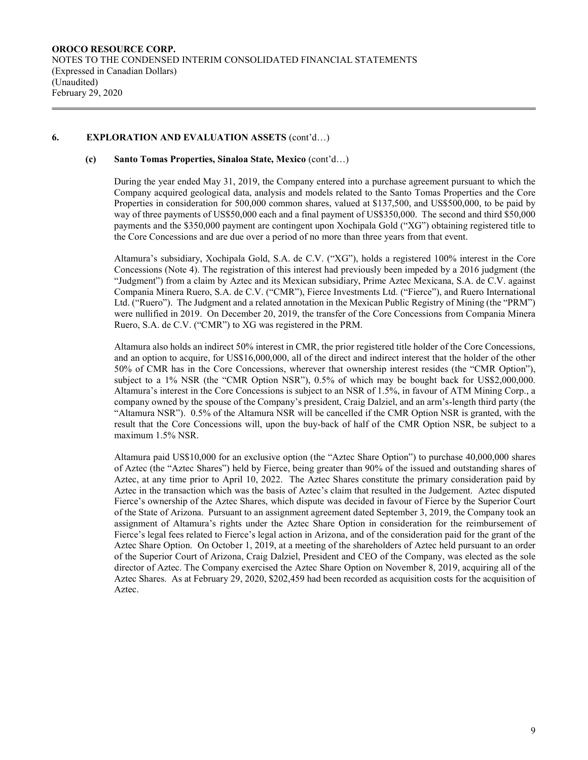### 6. EXPLORATION AND EVALUATION ASSETS (cont'd…)

 $\overline{a}$ 

#### (c) Santo Tomas Properties, Sinaloa State, Mexico (cont'd…)

During the year ended May 31, 2019, the Company entered into a purchase agreement pursuant to which the Company acquired geological data, analysis and models related to the Santo Tomas Properties and the Core Properties in consideration for 500,000 common shares, valued at \$137,500, and US\$500,000, to be paid by way of three payments of US\$50,000 each and a final payment of US\$350,000. The second and third \$50,000 payments and the \$350,000 payment are contingent upon Xochipala Gold ("XG") obtaining registered title to the Core Concessions and are due over a period of no more than three years from that event.

Altamura's subsidiary, Xochipala Gold, S.A. de C.V. ("XG"), holds a registered 100% interest in the Core Concessions (Note 4). The registration of this interest had previously been impeded by a 2016 judgment (the "Judgment") from a claim by Aztec and its Mexican subsidiary, Prime Aztec Mexicana, S.A. de C.V. against Compania Minera Ruero, S.A. de C.V. ("CMR"), Fierce Investments Ltd. ("Fierce"), and Ruero International Ltd. ("Ruero"). The Judgment and a related annotation in the Mexican Public Registry of Mining (the "PRM") were nullified in 2019. On December 20, 2019, the transfer of the Core Concessions from Compania Minera Ruero, S.A. de C.V. ("CMR") to XG was registered in the PRM.

Altamura also holds an indirect 50% interest in CMR, the prior registered title holder of the Core Concessions, and an option to acquire, for US\$16,000,000, all of the direct and indirect interest that the holder of the other 50% of CMR has in the Core Concessions, wherever that ownership interest resides (the "CMR Option"), subject to a 1% NSR (the "CMR Option NSR"), 0.5% of which may be bought back for US\$2,000,000. Altamura's interest in the Core Concessions is subject to an NSR of 1.5%, in favour of ATM Mining Corp., a company owned by the spouse of the Company's president, Craig Dalziel, and an arm's-length third party (the "Altamura NSR"). 0.5% of the Altamura NSR will be cancelled if the CMR Option NSR is granted, with the result that the Core Concessions will, upon the buy-back of half of the CMR Option NSR, be subject to a maximum 1.5% NSR.

Altamura paid US\$10,000 for an exclusive option (the "Aztec Share Option") to purchase 40,000,000 shares of Aztec (the "Aztec Shares") held by Fierce, being greater than 90% of the issued and outstanding shares of Aztec, at any time prior to April 10, 2022. The Aztec Shares constitute the primary consideration paid by Aztec in the transaction which was the basis of Aztec's claim that resulted in the Judgement. Aztec disputed Fierce's ownership of the Aztec Shares, which dispute was decided in favour of Fierce by the Superior Court of the State of Arizona. Pursuant to an assignment agreement dated September 3, 2019, the Company took an assignment of Altamura's rights under the Aztec Share Option in consideration for the reimbursement of Fierce's legal fees related to Fierce's legal action in Arizona, and of the consideration paid for the grant of the Aztec Share Option. On October 1, 2019, at a meeting of the shareholders of Aztec held pursuant to an order of the Superior Court of Arizona, Craig Dalziel, President and CEO of the Company, was elected as the sole director of Aztec. The Company exercised the Aztec Share Option on November 8, 2019, acquiring all of the Aztec Shares. As at February 29, 2020, \$202,459 had been recorded as acquisition costs for the acquisition of Aztec.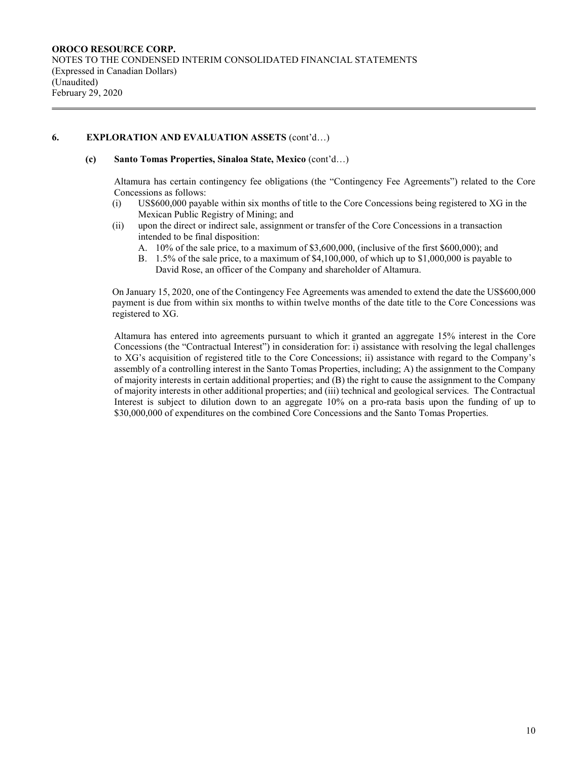# 6. EXPLORATION AND EVALUATION ASSETS (cont'd…)

 $\overline{a}$ 

#### (c) Santo Tomas Properties, Sinaloa State, Mexico (cont'd…)

Altamura has certain contingency fee obligations (the "Contingency Fee Agreements") related to the Core Concessions as follows:

- (i) US\$600,000 payable within six months of title to the Core Concessions being registered to XG in the Mexican Public Registry of Mining; and
- (ii) upon the direct or indirect sale, assignment or transfer of the Core Concessions in a transaction intended to be final disposition:
	- A. 10% of the sale price, to a maximum of \$3,600,000, (inclusive of the first \$600,000); and
	- B. 1.5% of the sale price, to a maximum of \$4,100,000, of which up to \$1,000,000 is payable to David Rose, an officer of the Company and shareholder of Altamura.

On January 15, 2020, one of the Contingency Fee Agreements was amended to extend the date the US\$600,000 payment is due from within six months to within twelve months of the date title to the Core Concessions was registered to XG.

Altamura has entered into agreements pursuant to which it granted an aggregate 15% interest in the Core Concessions (the "Contractual Interest") in consideration for: i) assistance with resolving the legal challenges to XG's acquisition of registered title to the Core Concessions; ii) assistance with regard to the Company's assembly of a controlling interest in the Santo Tomas Properties, including; A) the assignment to the Company of majority interests in certain additional properties; and (B) the right to cause the assignment to the Company of majority interests in other additional properties; and (iii) technical and geological services. The Contractual Interest is subject to dilution down to an aggregate 10% on a pro-rata basis upon the funding of up to \$30,000,000 of expenditures on the combined Core Concessions and the Santo Tomas Properties.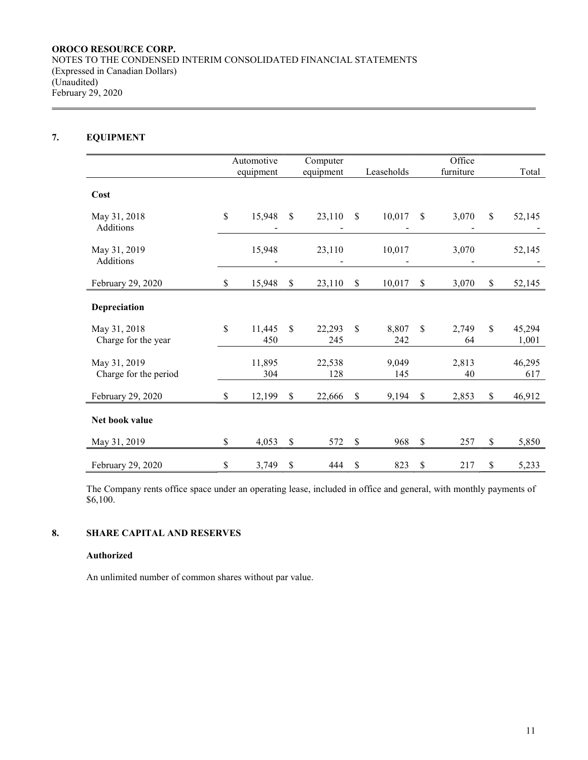# 7. EQUIPMENT

 $\overline{a}$ 

|                                       | Automotive          |               | Computer      |              | Leaseholds   |              | Office<br>furniture | Total                 |
|---------------------------------------|---------------------|---------------|---------------|--------------|--------------|--------------|---------------------|-----------------------|
|                                       | equipment           |               | equipment     |              |              |              |                     |                       |
| Cost                                  |                     |               |               |              |              |              |                     |                       |
| May 31, 2018<br>Additions             | \$<br>15,948        | $\mathbf S$   | 23,110        | $\mathbb{S}$ | 10,017       | \$           | 3,070               | \$<br>52,145          |
| May 31, 2019<br>Additions             | 15,948              |               | 23,110        |              | 10,017       |              | 3,070               | 52,145                |
| February 29, 2020                     | \$<br>15,948        | \$            | 23,110        | \$           | 10,017       | $\mathbb{S}$ | 3,070               | \$<br>52,145          |
| Depreciation                          |                     |               |               |              |              |              |                     |                       |
| May 31, 2018<br>Charge for the year   | \$<br>11,445<br>450 | $\mathcal{S}$ | 22,293<br>245 | \$           | 8,807<br>242 | $\mathbb{S}$ | 2,749<br>64         | \$<br>45,294<br>1,001 |
| May 31, 2019<br>Charge for the period | 11,895<br>304       |               | 22,538<br>128 |              | 9,049<br>145 |              | 2,813<br>40         | 46,295<br>617         |
| February 29, 2020                     | \$<br>12,199        | \$            | 22,666        | \$           | 9,194        | \$           | 2,853               | \$<br>46,912          |
| Net book value                        |                     |               |               |              |              |              |                     |                       |
| May 31, 2019                          | \$<br>4,053         | $\mathcal{S}$ | 572           | \$           | 968          | $\mathbb{S}$ | 257                 | \$<br>5,850           |
| February 29, 2020                     | \$<br>3,749         | \$            | 444           | \$           | 823          | \$           | 217                 | \$<br>5,233           |

The Company rents office space under an operating lease, included in office and general, with monthly payments of \$6,100.

# 8. SHARE CAPITAL AND RESERVES

# Authorized

An unlimited number of common shares without par value.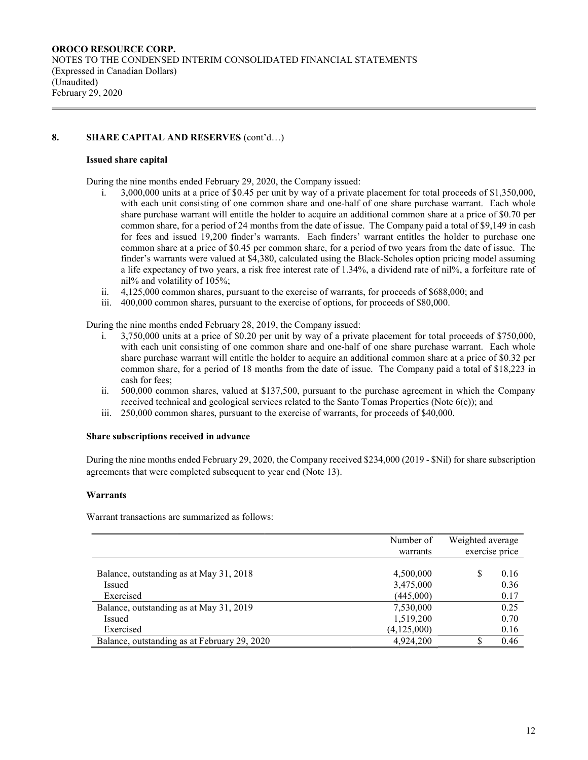# 8. SHARE CAPITAL AND RESERVES (cont'd...)

### Issued share capital

 $\overline{a}$ 

During the nine months ended February 29, 2020, the Company issued:

- i. 3,000,000 units at a price of \$0.45 per unit by way of a private placement for total proceeds of \$1,350,000, with each unit consisting of one common share and one-half of one share purchase warrant. Each whole share purchase warrant will entitle the holder to acquire an additional common share at a price of \$0.70 per common share, for a period of 24 months from the date of issue. The Company paid a total of \$9,149 in cash for fees and issued 19,200 finder's warrants. Each finders' warrant entitles the holder to purchase one common share at a price of \$0.45 per common share, for a period of two years from the date of issue. The finder's warrants were valued at \$4,380, calculated using the Black-Scholes option pricing model assuming a life expectancy of two years, a risk free interest rate of 1.34%, a dividend rate of nil%, a forfeiture rate of nil% and volatility of 105%;
- ii. 4,125,000 common shares, pursuant to the exercise of warrants, for proceeds of \$688,000; and
- iii. 400,000 common shares, pursuant to the exercise of options, for proceeds of \$80,000.

During the nine months ended February 28, 2019, the Company issued:

- i. 3,750,000 units at a price of \$0.20 per unit by way of a private placement for total proceeds of \$750,000, with each unit consisting of one common share and one-half of one share purchase warrant. Each whole share purchase warrant will entitle the holder to acquire an additional common share at a price of \$0.32 per common share, for a period of 18 months from the date of issue. The Company paid a total of \$18,223 in cash for fees;
- ii. 500,000 common shares, valued at \$137,500, pursuant to the purchase agreement in which the Company received technical and geological services related to the Santo Tomas Properties (Note 6(c)); and
- iii. 250,000 common shares, pursuant to the exercise of warrants, for proceeds of \$40,000.

### Share subscriptions received in advance

During the nine months ended February 29, 2020, the Company received \$234,000 (2019 - \$Nil) for share subscription agreements that were completed subsequent to year end (Note 13).

# Warrants

Warrant transactions are summarized as follows:

|                                              | Number of     | Weighted average |
|----------------------------------------------|---------------|------------------|
|                                              | warrants      | exercise price   |
|                                              |               |                  |
| Balance, outstanding as at May 31, 2018      | 4,500,000     | 0.16             |
| Issued                                       | 3,475,000     | 0.36             |
| Exercised                                    | (445,000)     | 0.17             |
| Balance, outstanding as at May 31, 2019      | 7,530,000     | 0.25             |
| Issued                                       | 1,519,200     | 0.70             |
| Exercised                                    | (4, 125, 000) | 0.16             |
| Balance, outstanding as at February 29, 2020 | 4,924,200     | 0.46             |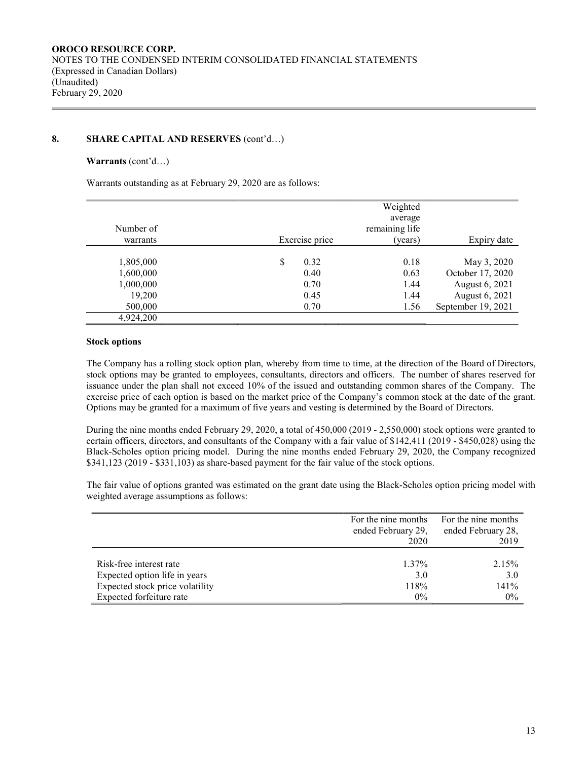### 8. SHARE CAPITAL AND RESERVES (cont'd...)

#### Warrants (cont'd…)

 $\overline{a}$ 

Warrants outstanding as at February 29, 2020 are as follows:

|           |                       | Weighted<br>average |                    |
|-----------|-----------------------|---------------------|--------------------|
| Number of |                       | remaining life      |                    |
| warrants  | Exercise price        | (years)             | Expiry date        |
|           |                       |                     |                    |
| 1,805,000 | <sup>\$</sup><br>0.32 | 0.18                | May 3, 2020        |
| 1,600,000 | 0.40                  | 0.63                | October 17, 2020   |
| 1,000,000 | 0.70                  | 1.44                | August 6, 2021     |
| 19,200    | 0.45                  | 1.44                | August 6, 2021     |
| 500,000   | 0.70                  | 1.56                | September 19, 2021 |
| 4,924,200 |                       |                     |                    |

#### Stock options

The Company has a rolling stock option plan, whereby from time to time, at the direction of the Board of Directors, stock options may be granted to employees, consultants, directors and officers. The number of shares reserved for issuance under the plan shall not exceed 10% of the issued and outstanding common shares of the Company. The exercise price of each option is based on the market price of the Company's common stock at the date of the grant. Options may be granted for a maximum of five years and vesting is determined by the Board of Directors.

During the nine months ended February 29, 2020, a total of 450,000 (2019 - 2,550,000) stock options were granted to certain officers, directors, and consultants of the Company with a fair value of \$142,411 (2019 - \$450,028) using the Black-Scholes option pricing model. During the nine months ended February 29, 2020, the Company recognized \$341,123 (2019 - \$331,103) as share-based payment for the fair value of the stock options.

The fair value of options granted was estimated on the grant date using the Black-Scholes option pricing model with weighted average assumptions as follows:

|                                 | For the nine months<br>ended February 29,<br>2020 | For the nine months<br>ended February 28,<br>2019 |
|---------------------------------|---------------------------------------------------|---------------------------------------------------|
| Risk-free interest rate         | $1.37\%$                                          | 2.15%                                             |
| Expected option life in years   | 3.0                                               | 3.0                                               |
| Expected stock price volatility | 118%                                              | 141%                                              |
| Expected forfeiture rate        | 0%                                                | $0\%$                                             |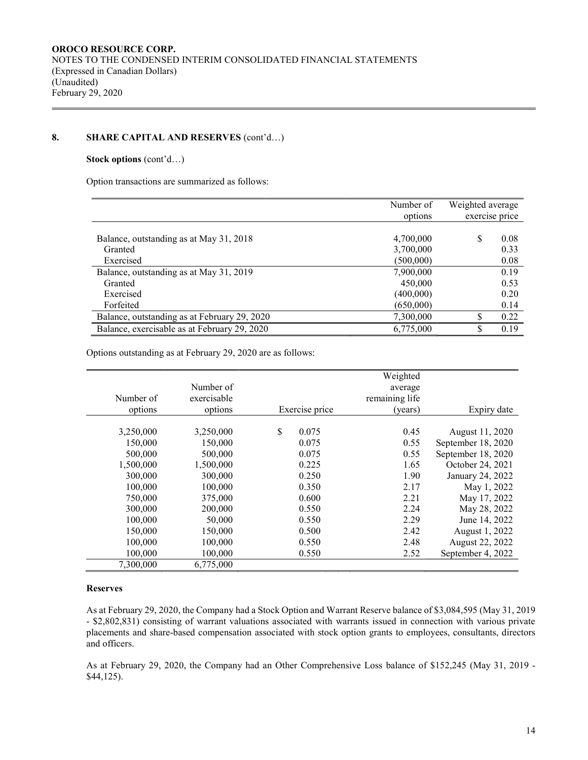### 8. SHARE CAPITAL AND RESERVES (cont'd...)

#### Stock options (cont'd…)

 $\overline{a}$ 

Option transactions are summarized as follows:

|                                              | Number of | Weighted average |
|----------------------------------------------|-----------|------------------|
|                                              | options   | exercise price   |
|                                              |           |                  |
| Balance, outstanding as at May 31, 2018      | 4,700,000 | S<br>0.08        |
| Granted                                      | 3,700,000 | 0.33             |
| Exercised                                    | (500,000) | 0.08             |
| Balance, outstanding as at May 31, 2019      | 7,900,000 | 0.19             |
| Granted                                      | 450,000   | 0.53             |
| Exercised                                    | (400,000) | 0.20             |
| Forfeited                                    | (650,000) | 0.14             |
| Balance, outstanding as at February 29, 2020 | 7,300,000 | 0.22             |
| Balance, exercisable as at February 29, 2020 | 6,775,000 | 0.19             |

Options outstanding as at February 29, 2020 are as follows:

|           |             |                | Weighted       |                    |
|-----------|-------------|----------------|----------------|--------------------|
|           | Number of   |                | average        |                    |
| Number of | exercisable |                | remaining life |                    |
| options   | options     | Exercise price | (years)        | Expiry date        |
|           |             |                |                |                    |
| 3,250,000 | 3,250,000   | \$<br>0.075    | 0.45           | August 11, 2020    |
| 150,000   | 150,000     | 0.075          | 0.55           | September 18, 2020 |
| 500,000   | 500,000     | 0.075          | 0.55           | September 18, 2020 |
| 1,500,000 | 1,500,000   | 0.225          | 1.65           | October 24, 2021   |
| 300,000   | 300,000     | 0.250          | 1.90           | January 24, 2022   |
| 100,000   | 100,000     | 0.350          | 2.17           | May 1, 2022        |
| 750,000   | 375,000     | 0.600          | 2.21           | May 17, 2022       |
| 300,000   | 200,000     | 0.550          | 2.24           | May 28, 2022       |
| 100,000   | 50,000      | 0.550          | 2.29           | June 14, 2022      |
| 150,000   | 150,000     | 0.500          | 2.42           | August 1, 2022     |
| 100,000   | 100,000     | 0.550          | 2.48           | August 22, 2022    |
| 100,000   | 100,000     | 0.550          | 2.52           | September 4, 2022  |
| 7,300,000 | 6,775,000   |                |                |                    |

# Reserves

As at February 29, 2020, the Company had a Stock Option and Warrant Reserve balance of \$3,084,595 (May 31, 2019 - \$2,802,831) consisting of warrant valuations associated with warrants issued in connection with various private placements and share-based compensation associated with stock option grants to employees, consultants, directors and officers.

As at February 29, 2020, the Company had an Other Comprehensive Loss balance of \$152,245 (May 31, 2019 - \$44,125).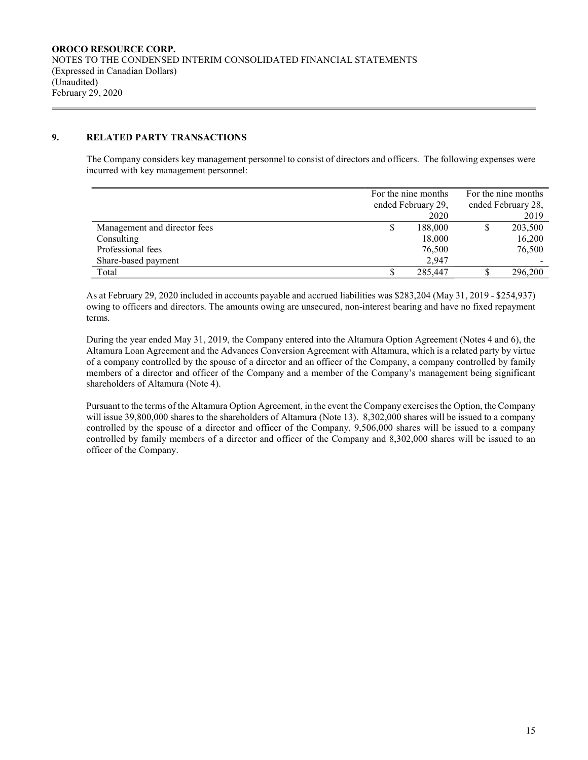# 9. RELATED PARTY TRANSACTIONS

 $\overline{a}$ 

The Company considers key management personnel to consist of directors and officers. The following expenses were incurred with key management personnel:

|                              |  | For the nine months | For the nine months |                    |  |
|------------------------------|--|---------------------|---------------------|--------------------|--|
|                              |  | ended February 29,  |                     | ended February 28, |  |
|                              |  |                     | 2019                |                    |  |
| Management and director fees |  | 188,000             |                     | 203,500            |  |
| Consulting                   |  | 18,000              |                     | 16,200             |  |
| Professional fees            |  | 76,500              |                     | 76,500             |  |
| Share-based payment          |  | 2,947               |                     |                    |  |
| Total                        |  | 285,447             |                     | 296,200            |  |

As at February 29, 2020 included in accounts payable and accrued liabilities was \$283,204 (May 31, 2019 - \$254,937) owing to officers and directors. The amounts owing are unsecured, non-interest bearing and have no fixed repayment terms.

During the year ended May 31, 2019, the Company entered into the Altamura Option Agreement (Notes 4 and 6), the Altamura Loan Agreement and the Advances Conversion Agreement with Altamura, which is a related party by virtue of a company controlled by the spouse of a director and an officer of the Company, a company controlled by family members of a director and officer of the Company and a member of the Company's management being significant shareholders of Altamura (Note 4).

Pursuant to the terms of the Altamura Option Agreement, in the event the Company exercises the Option, the Company will issue 39,800,000 shares to the shareholders of Altamura (Note 13). 8,302,000 shares will be issued to a company controlled by the spouse of a director and officer of the Company, 9,506,000 shares will be issued to a company controlled by family members of a director and officer of the Company and 8,302,000 shares will be issued to an officer of the Company.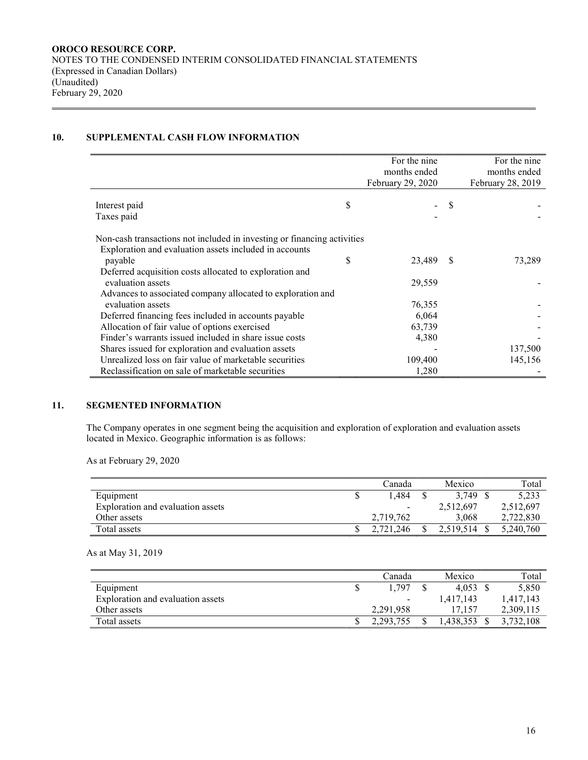# 10. SUPPLEMENTAL CASH FLOW INFORMATION

 $\overline{a}$ 

|                                                                         | For the nine<br>months ended<br>February 29, 2020 |   | For the nine<br>months ended<br>February 28, 2019 |
|-------------------------------------------------------------------------|---------------------------------------------------|---|---------------------------------------------------|
|                                                                         |                                                   |   |                                                   |
| Interest paid                                                           | \$                                                |   |                                                   |
| Taxes paid                                                              |                                                   |   |                                                   |
| Non-cash transactions not included in investing or financing activities |                                                   |   |                                                   |
| Exploration and evaluation assets included in accounts                  |                                                   |   |                                                   |
| payable                                                                 | \$<br>23,489                                      | S | 73,289                                            |
| Deferred acquisition costs allocated to exploration and                 |                                                   |   |                                                   |
| evaluation assets                                                       | 29,559                                            |   |                                                   |
| Advances to associated company allocated to exploration and             |                                                   |   |                                                   |
| evaluation assets                                                       | 76,355                                            |   |                                                   |
| Deferred financing fees included in accounts payable                    | 6,064                                             |   |                                                   |
| Allocation of fair value of options exercised                           | 63,739                                            |   |                                                   |
| Finder's warrants issued included in share issue costs                  | 4,380                                             |   |                                                   |
| Shares issued for exploration and evaluation assets                     |                                                   |   | 137,500                                           |
| Unrealized loss on fair value of marketable securities                  | 109,400                                           |   | 145,156                                           |
| Reclassification on sale of marketable securities                       | 1,280                                             |   |                                                   |

# 11. SEGMENTED INFORMATION

The Company operates in one segment being the acquisition and exploration of exploration and evaluation assets located in Mexico. Geographic information is as follows:

As at February 29, 2020

|                                   | Canada                   | Mexico    | Total     |
|-----------------------------------|--------------------------|-----------|-----------|
| Equipment                         | .484                     | 3.749     | 5.233     |
| Exploration and evaluation assets | $\overline{\phantom{a}}$ | 2,512,697 | 2,512,697 |
| Other assets                      | 2,719,762                | 3.068     | 2,722,830 |
| Total assets                      | .721.246                 | 2,519,514 | 5.240.760 |

As at May 31, 2019

|                                   | Canada    | Mexico    | Total     |
|-----------------------------------|-----------|-----------|-----------|
| Equipment                         | 1.797     | 4.053     | 5,850     |
| Exploration and evaluation assets | -         | 1.417.143 | 1,417,143 |
| Other assets                      | 2.291.958 | 17.157    | 2,309,115 |
| Total assets                      | 2,293,755 | ,438,353  | 3,732,108 |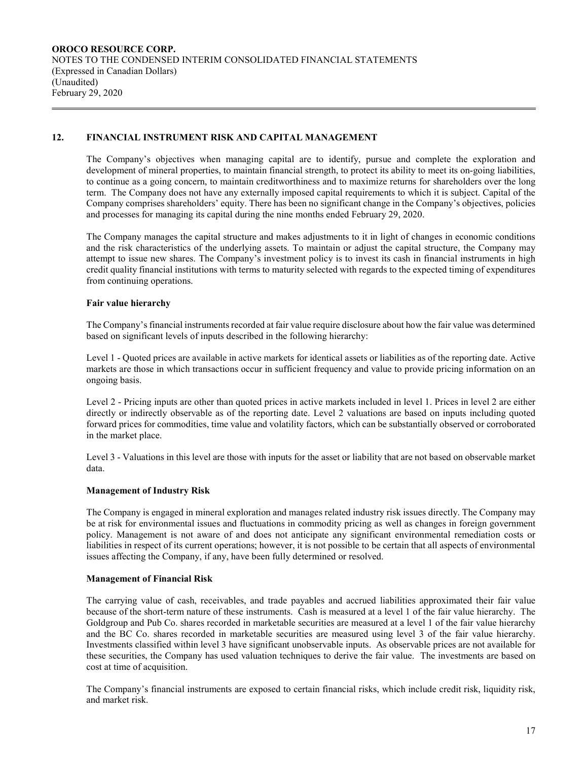# 12. FINANCIAL INSTRUMENT RISK AND CAPITAL MANAGEMENT

The Company's objectives when managing capital are to identify, pursue and complete the exploration and development of mineral properties, to maintain financial strength, to protect its ability to meet its on-going liabilities, to continue as a going concern, to maintain creditworthiness and to maximize returns for shareholders over the long term. The Company does not have any externally imposed capital requirements to which it is subject. Capital of the Company comprises shareholders' equity. There has been no significant change in the Company's objectives, policies and processes for managing its capital during the nine months ended February 29, 2020.

The Company manages the capital structure and makes adjustments to it in light of changes in economic conditions and the risk characteristics of the underlying assets. To maintain or adjust the capital structure, the Company may attempt to issue new shares. The Company's investment policy is to invest its cash in financial instruments in high credit quality financial institutions with terms to maturity selected with regards to the expected timing of expenditures from continuing operations.

# Fair value hierarchy

 $\overline{a}$ 

The Company's financial instruments recorded at fair value require disclosure about how the fair value was determined based on significant levels of inputs described in the following hierarchy:

Level 1 - Quoted prices are available in active markets for identical assets or liabilities as of the reporting date. Active markets are those in which transactions occur in sufficient frequency and value to provide pricing information on an ongoing basis.

Level 2 - Pricing inputs are other than quoted prices in active markets included in level 1. Prices in level 2 are either directly or indirectly observable as of the reporting date. Level 2 valuations are based on inputs including quoted forward prices for commodities, time value and volatility factors, which can be substantially observed or corroborated in the market place.

Level 3 - Valuations in this level are those with inputs for the asset or liability that are not based on observable market data.

# Management of Industry Risk

The Company is engaged in mineral exploration and manages related industry risk issues directly. The Company may be at risk for environmental issues and fluctuations in commodity pricing as well as changes in foreign government policy. Management is not aware of and does not anticipate any significant environmental remediation costs or liabilities in respect of its current operations; however, it is not possible to be certain that all aspects of environmental issues affecting the Company, if any, have been fully determined or resolved.

### Management of Financial Risk

The carrying value of cash, receivables, and trade payables and accrued liabilities approximated their fair value because of the short-term nature of these instruments. Cash is measured at a level 1 of the fair value hierarchy. The Goldgroup and Pub Co. shares recorded in marketable securities are measured at a level 1 of the fair value hierarchy and the BC Co. shares recorded in marketable securities are measured using level 3 of the fair value hierarchy. Investments classified within level 3 have significant unobservable inputs. As observable prices are not available for these securities, the Company has used valuation techniques to derive the fair value. The investments are based on cost at time of acquisition.

The Company's financial instruments are exposed to certain financial risks, which include credit risk, liquidity risk, and market risk.